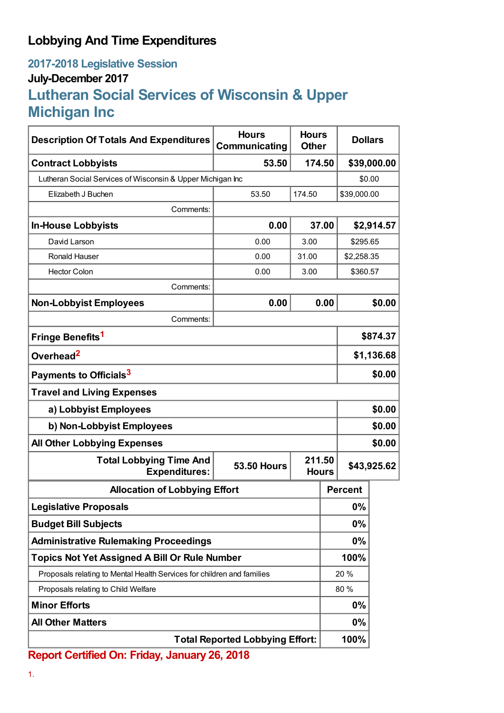## **Lobbying And Time Expenditures**

## **2017-2018 Legislative Session July-December 2017 Lutheran Social Services of Wisconsin & Upper Michigan Inc**

| <b>Description Of Totals And Expenditures</b>                          | <b>Hours</b><br>Communicating | <b>Hours</b><br><b>Other</b> |      | <b>Dollars</b> |             |
|------------------------------------------------------------------------|-------------------------------|------------------------------|------|----------------|-------------|
| <b>Contract Lobbyists</b>                                              | 53.50                         | 174.50                       |      |                | \$39,000.00 |
| Lutheran Social Services of Wisconsin & Upper Michigan Inc             |                               |                              |      | \$0.00         |             |
| Elizabeth J Buchen                                                     | 53.50                         | 174.50                       |      | \$39,000.00    |             |
| Comments:                                                              |                               |                              |      |                |             |
| <b>In-House Lobbyists</b>                                              | 0.00<br>37.00                 |                              |      | \$2,914.57     |             |
| David Larson                                                           | 0.00                          | 3.00                         |      | \$295.65       |             |
| <b>Ronald Hauser</b>                                                   | 0.00                          | 31.00                        |      | \$2,258.35     |             |
| <b>Hector Colon</b>                                                    | 0.00                          | 3.00                         |      | \$360.57       |             |
| Comments:                                                              |                               |                              |      |                |             |
| <b>Non-Lobbyist Employees</b>                                          | 0.00                          |                              | 0.00 |                | \$0.00      |
| Comments:                                                              |                               |                              |      |                |             |
| Fringe Benefits <sup>1</sup>                                           |                               |                              |      | \$874.37       |             |
| Overhead <sup>2</sup>                                                  |                               |                              |      | \$1,136.68     |             |
| Payments to Officials <sup>3</sup>                                     |                               |                              |      | \$0.00         |             |
| <b>Travel and Living Expenses</b>                                      |                               |                              |      |                |             |
| a) Lobbyist Employees                                                  |                               |                              |      | \$0.00         |             |
| b) Non-Lobbyist Employees                                              |                               |                              |      | \$0.00         |             |
| <b>All Other Lobbying Expenses</b>                                     |                               |                              |      |                | \$0.00      |
| <b>Total Lobbying Time And</b><br><b>Expenditures:</b>                 | <b>53.50 Hours</b>            | 211.50<br><b>Hours</b>       |      | \$43,925.62    |             |
| <b>Allocation of Lobbying Effort</b>                                   |                               |                              |      | <b>Percent</b> |             |
| <b>Legislative Proposals</b>                                           |                               |                              |      | 0%             |             |
| <b>Budget Bill Subjects</b>                                            |                               |                              |      | 0%             |             |
| <b>Administrative Rulemaking Proceedings</b>                           |                               |                              |      | 0%             |             |
| <b>Topics Not Yet Assigned A Bill Or Rule Number</b>                   |                               |                              |      | 100%           |             |
| Proposals relating to Mental Health Services for children and families |                               |                              | 20%  |                |             |
| Proposals relating to Child Welfare                                    |                               |                              | 80%  |                |             |
| <b>Minor Efforts</b>                                                   |                               |                              | 0%   |                |             |
| <b>All Other Matters</b>                                               |                               |                              |      | 0%             |             |
| <b>Total Reported Lobbying Effort:</b>                                 |                               |                              |      | 100%           |             |

**Report Certified On: Friday, January 26, 2018**